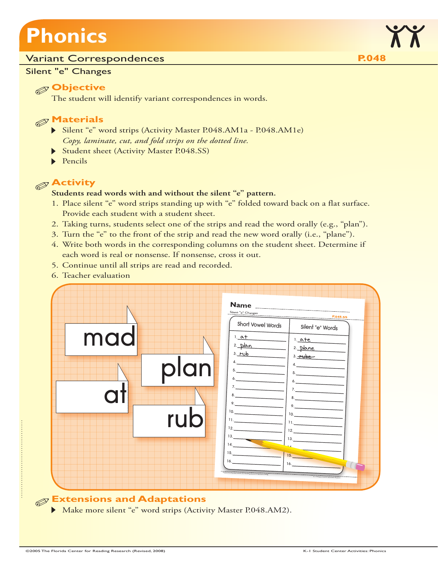# **Phonics**

#### Variant Correspondences **P.048**

#### Silent "e" Changes

### **Objective**

The student will identify variant correspondences in words.

### **Materials**

- Silent "e" word strips (Activity Master P.048.AM1a P.048.AM1e) *Copy, laminate, cut, and fold strips on the dotted line.*
- Student sheet (Activity Master P.048.SS)
- $\blacktriangleright$  Pencils

## **Activity**

#### **Students read words with and without the silent "e" pattern.**

- 1. Place silent "e" word strips standing up with "e" folded toward back on a flat surface. Provide each student with a student sheet.
- 2. Taking turns, students select one of the strips and read the word orally (e.g., "plan").
- 3. Turn the "e" to the front of the strip and read the new word orally (i.e., "plane").
- 4. Write both words in the corresponding columns on the student sheet. Determine if each word is real or nonsense. If nonsense, cross it out.
- 5. Continue until all strips are read and recorded.
- 6. Teacher evaluation



## **Extensions and Adaptations**

Make more silent "e" word strips (Activity Master P.048.AM2).

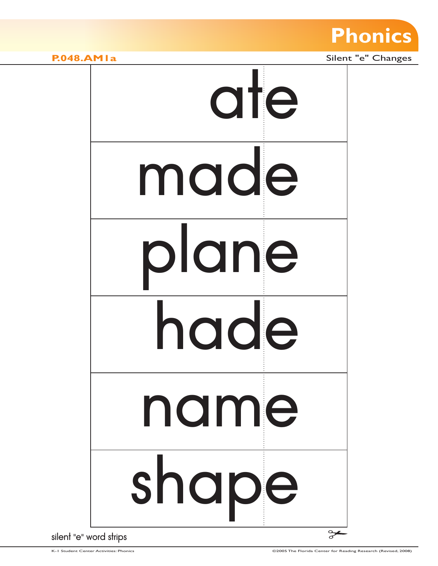

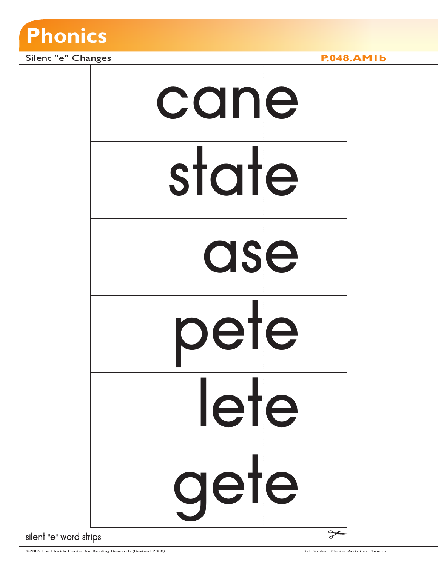

Silent "e" Changes **P.048.AM1b** 

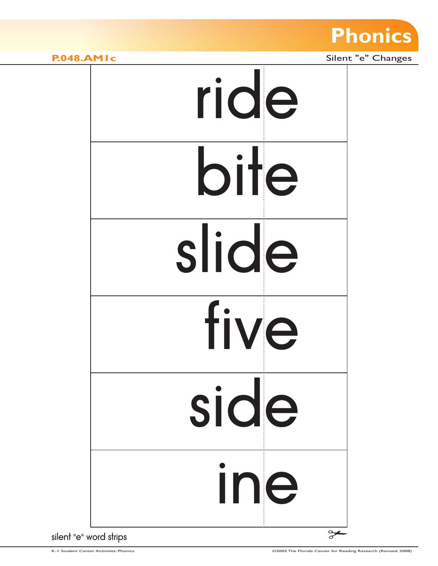

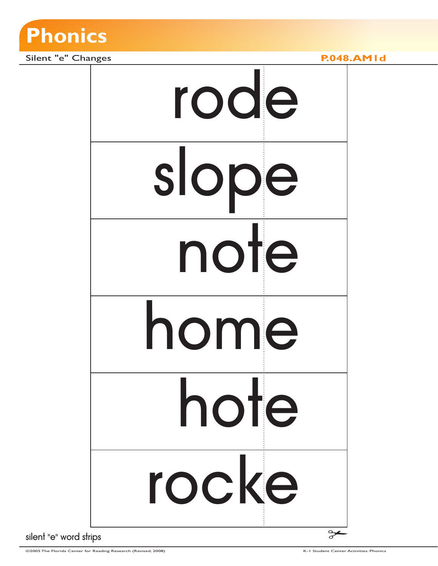

Silent "e" Changes **P.048.AM1d** 

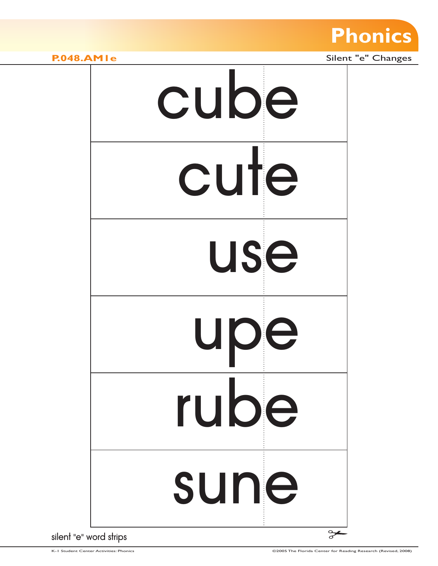

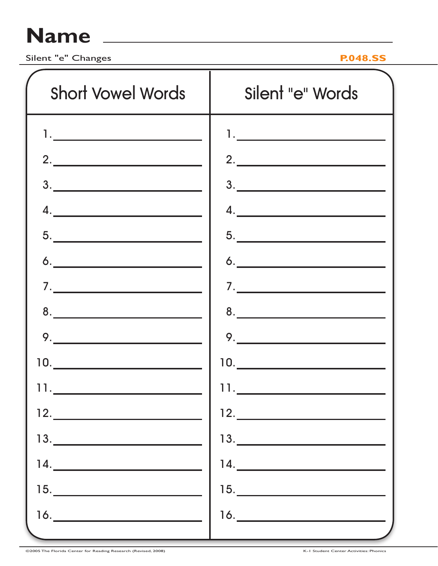## **Name**

Silent "e" Changes **P.048.SS**

| <b>Short Vowel Words</b>                                                                                                                                                                                                                                                                                                                                                                                                                                                                                                                        | Silent "e" Words                                                                                                                                                                                                                                                                                                                                                                                                                                                                                                                                |
|-------------------------------------------------------------------------------------------------------------------------------------------------------------------------------------------------------------------------------------------------------------------------------------------------------------------------------------------------------------------------------------------------------------------------------------------------------------------------------------------------------------------------------------------------|-------------------------------------------------------------------------------------------------------------------------------------------------------------------------------------------------------------------------------------------------------------------------------------------------------------------------------------------------------------------------------------------------------------------------------------------------------------------------------------------------------------------------------------------------|
| 1. <u>_____________________</u>                                                                                                                                                                                                                                                                                                                                                                                                                                                                                                                 | $\begin{picture}(20,10) \put(0,0){\dashbox{0.5}(10,0){ }} \put(15,0){\circle{10}} \put(15,0){\circle{10}} \put(15,0){\circle{10}} \put(15,0){\circle{10}} \put(15,0){\circle{10}} \put(15,0){\circle{10}} \put(15,0){\circle{10}} \put(15,0){\circle{10}} \put(15,0){\circle{10}} \put(15,0){\circle{10}} \put(15,0){\circle{10}} \put(15,0){\circle{10}} \put(15,0){\circle{10}} \put(15,$                                                                                                                                                     |
| 2.                                                                                                                                                                                                                                                                                                                                                                                                                                                                                                                                              | 2.                                                                                                                                                                                                                                                                                                                                                                                                                                                                                                                                              |
| 3.                                                                                                                                                                                                                                                                                                                                                                                                                                                                                                                                              | 3.                                                                                                                                                                                                                                                                                                                                                                                                                                                                                                                                              |
| $\begin{array}{c} \n4. & \phantom{1} \n\end{array}$                                                                                                                                                                                                                                                                                                                                                                                                                                                                                             | 4.                                                                                                                                                                                                                                                                                                                                                                                                                                                                                                                                              |
| $\begin{array}{c}\n5.\n\end{array}$                                                                                                                                                                                                                                                                                                                                                                                                                                                                                                             | $\begin{array}{c}\n5. \\ \hline\n\end{array}$                                                                                                                                                                                                                                                                                                                                                                                                                                                                                                   |
| $\begin{array}{c}\n6. \\ \hline\n\end{array}$                                                                                                                                                                                                                                                                                                                                                                                                                                                                                                   | $\begin{array}{c}\n6. \\ \hline\n\end{array}$                                                                                                                                                                                                                                                                                                                                                                                                                                                                                                   |
| $\begin{array}{c} \n\hline\n\end{array}$                                                                                                                                                                                                                                                                                                                                                                                                                                                                                                        | $\begin{array}{c} \n\mathbf{7} \cdot \mathbf{R} \quad \text{and} \quad \mathbf{R} \quad \text{and} \quad \mathbf{R} \quad \text{and} \quad \mathbf{R} \quad \text{and} \quad \mathbf{R} \quad \text{and} \quad \mathbf{R} \quad \text{and} \quad \mathbf{R} \quad \text{and} \quad \mathbf{R} \quad \text{and} \quad \mathbf{R} \quad \text{and} \quad \mathbf{R} \quad \text{and} \quad \mathbf{R} \quad \text{and} \quad \mathbf{R} \quad \text{and} \quad \mathbf{R} \quad \text{and} \quad \mathbf{R} \quad$                                |
| $8. \underline{\hspace{2cm}}$                                                                                                                                                                                                                                                                                                                                                                                                                                                                                                                   | $8. \underline{\hspace{1.5cm}}$                                                                                                                                                                                                                                                                                                                                                                                                                                                                                                                 |
| $9. \underline{\hspace{1.5cm}}$                                                                                                                                                                                                                                                                                                                                                                                                                                                                                                                 | $9. \underline{\hspace{2cm}}$                                                                                                                                                                                                                                                                                                                                                                                                                                                                                                                   |
| $\begin{picture}(20,20) \put(0,0){\dashbox{0.5}(5,0){ }} \put(15,0){\circle{10}} \put(15,0){\circle{10}} \put(15,0){\circle{10}} \put(15,0){\circle{10}} \put(15,0){\circle{10}} \put(15,0){\circle{10}} \put(15,0){\circle{10}} \put(15,0){\circle{10}} \put(15,0){\circle{10}} \put(15,0){\circle{10}} \put(15,0){\circle{10}} \put(15,0){\circle{10}} \put(15,0){\circle{10}} \put(15,0$                                                                                                                                                     | $\begin{picture}(20,10) \put(0,0){\line(1,0){10}} \put(15,0){\line(1,0){10}} \put(15,0){\line(1,0){10}} \put(15,0){\line(1,0){10}} \put(15,0){\line(1,0){10}} \put(15,0){\line(1,0){10}} \put(15,0){\line(1,0){10}} \put(15,0){\line(1,0){10}} \put(15,0){\line(1,0){10}} \put(15,0){\line(1,0){10}} \put(15,0){\line(1,0){10}} \put(15,0){\line(1$                                                                                                                                                                                             |
|                                                                                                                                                                                                                                                                                                                                                                                                                                                                                                                                                 | 11.                                                                                                                                                                                                                                                                                                                                                                                                                                                                                                                                             |
| $12. \underline{\hspace{2cm}}$                                                                                                                                                                                                                                                                                                                                                                                                                                                                                                                  | 12.                                                                                                                                                                                                                                                                                                                                                                                                                                                                                                                                             |
| $13. \underline{\hspace{2cm}}$                                                                                                                                                                                                                                                                                                                                                                                                                                                                                                                  |                                                                                                                                                                                                                                                                                                                                                                                                                                                                                                                                                 |
| $\begin{array}{c c c c c} \hline 14. & \quad \text{and} \quad \text{and} \quad \text{and} \quad \text{and} \quad \text{and} \quad \text{and} \quad \text{and} \quad \text{and} \quad \text{and} \quad \text{and} \quad \text{and} \quad \text{and} \quad \text{and} \quad \text{and} \quad \text{and} \quad \text{and} \quad \text{and} \quad \text{and} \quad \text{and} \quad \text{and} \quad \text{and} \quad \text{and} \quad \text{and} \quad \text{and} \quad \text{and} \quad \text{and} \quad \text{and} \quad \text{and} \$           | 14.                                                                                                                                                                                                                                                                                                                                                                                                                                                                                                                                             |
| $\begin{array}{c} \n \text{15.} \quad \text{---} \quad \text{---} \quad \text{---} \quad \text{---} \quad \text{---} \quad \text{---} \quad \text{---} \quad \text{---} \quad \text{---} \quad \text{---} \quad \text{---} \quad \text{---} \quad \text{---} \quad \text{---} \quad \text{---} \quad \text{---} \quad \text{---} \quad \text{---} \quad \text{---} \quad \text{---} \quad \text{---} \quad \text{---} \quad \text{---} \quad \text{---} \quad \text{---} \quad \text{---} \quad \text{---} \quad \text{---} \quad \text{---} \$ | 15.                                                                                                                                                                                                                                                                                                                                                                                                                                                                                                                                             |
| $\begin{array}{c c c c c} \hline \multicolumn{3}{c }{\textbf{16}} & \multicolumn{3}{c }{\textbf{16}} \\ \hline \multicolumn{3}{c }{\textbf{16}} & \multicolumn{3}{c }{\textbf{16}} \\ \hline \multicolumn{3}{c }{\textbf{16}} & \multicolumn{3}{c }{\textbf{16}} \\ \hline \multicolumn{3}{c }{\textbf{16}} & \multicolumn{3}{c }{\textbf{16}} \\ \hline \multicolumn{3}{c }{\textbf{16}} & \multicolumn{3}{c }{\textbf{16}} \\ \hline \multicolumn{3}{$                                                                                        | $\begin{array}{c} \n \text{16.} \quad \text{---} \quad \text{---} \quad \text{---} \quad \text{---} \quad \text{---} \quad \text{---} \quad \text{---} \quad \text{---} \quad \text{---} \quad \text{---} \quad \text{---} \quad \text{---} \quad \text{---} \quad \text{---} \quad \text{---} \quad \text{---} \quad \text{---} \quad \text{---} \quad \text{---} \quad \text{---} \quad \text{---} \quad \text{---} \quad \text{---} \quad \text{---} \quad \text{---} \quad \text{---} \quad \text{---} \quad \text{---} \quad \text{---} \$ |
|                                                                                                                                                                                                                                                                                                                                                                                                                                                                                                                                                 |                                                                                                                                                                                                                                                                                                                                                                                                                                                                                                                                                 |